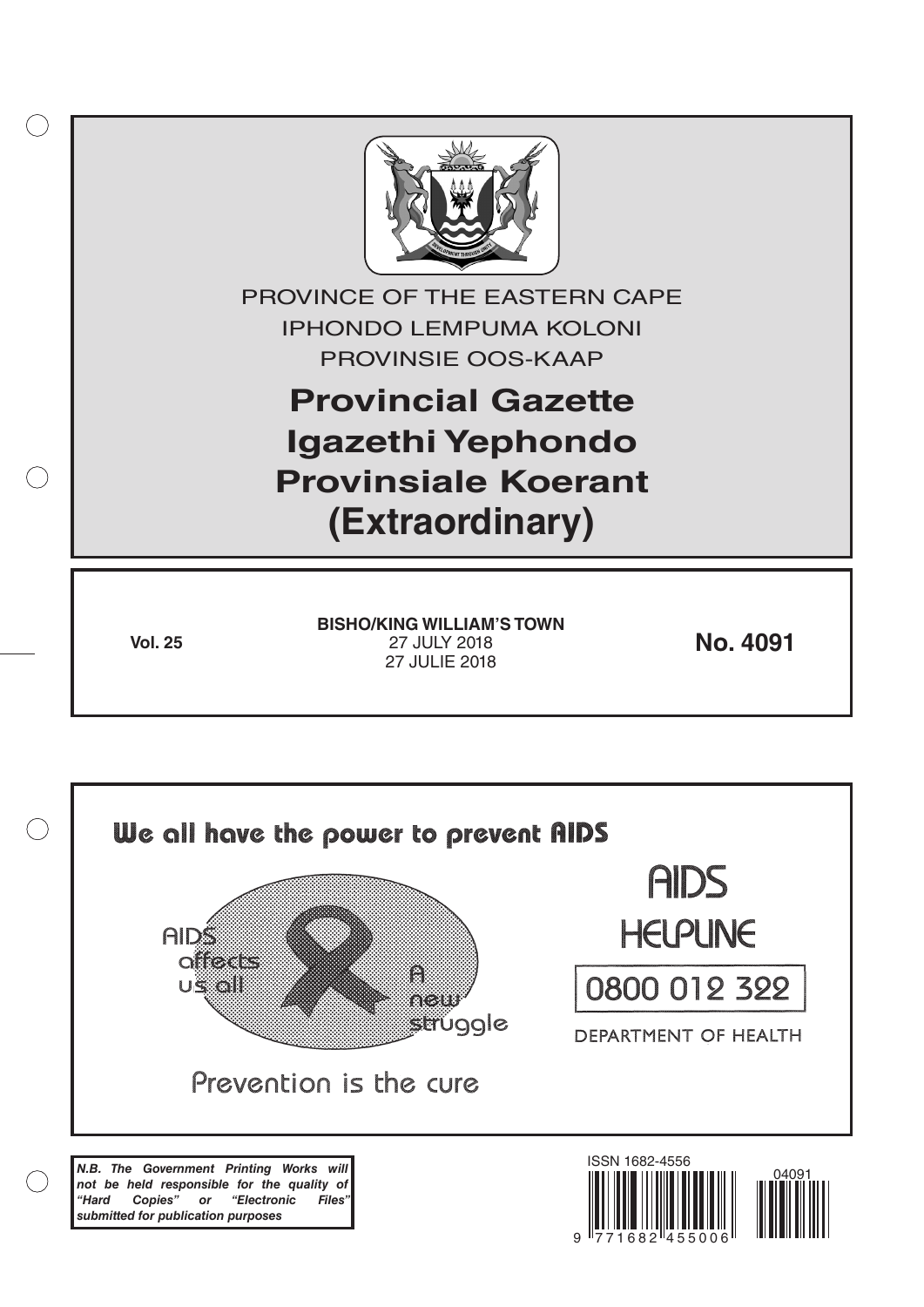

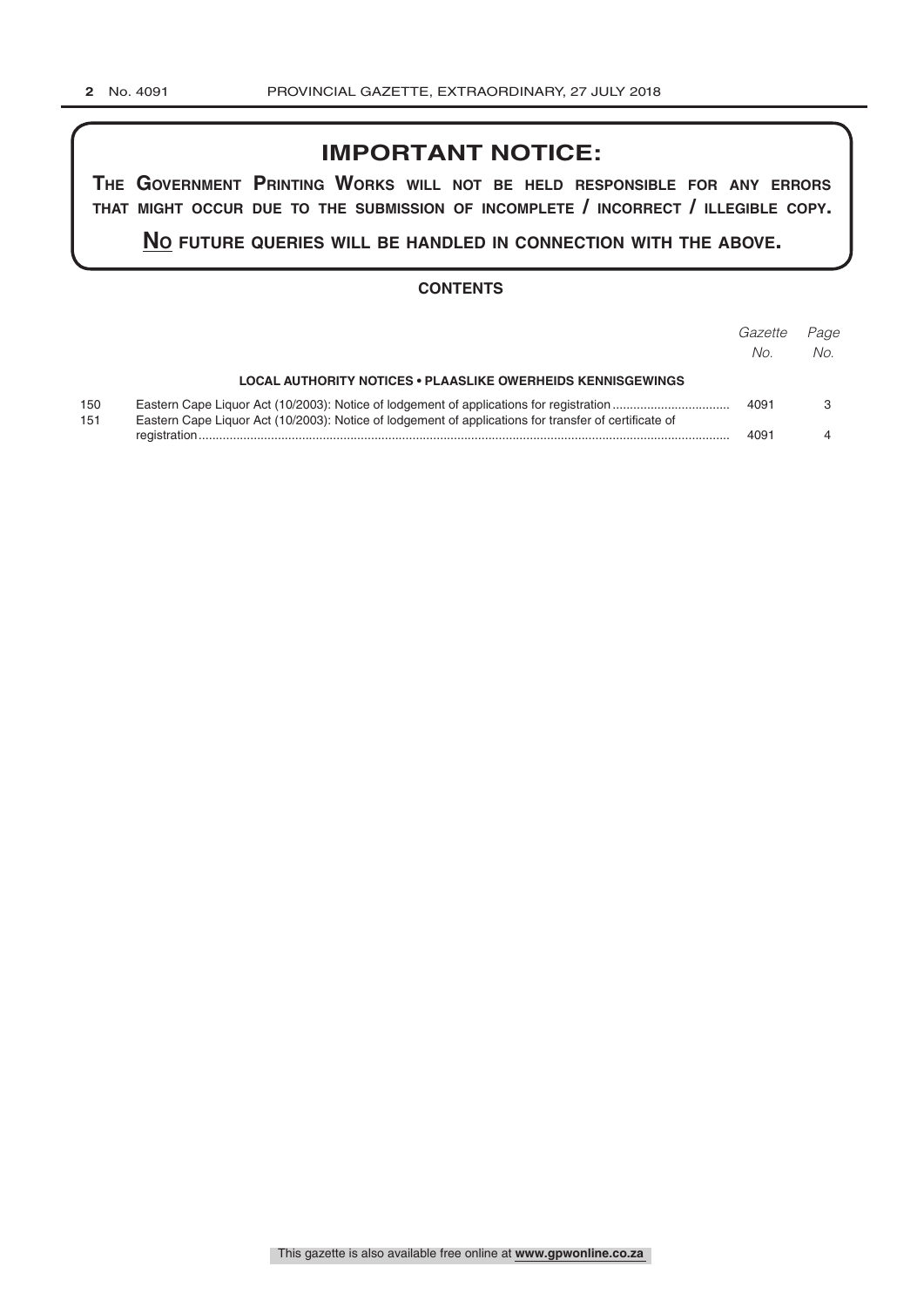# **IMPORTANT NOTICE:**

**The GovernmenT PrinTinG Works Will noT be held resPonsible for any errors ThaT miGhT occur due To The submission of incomPleTe / incorrecT / illeGible coPy.**

**no fuTure queries Will be handled in connecTion WiTh The above.**

## **CONTENTS**

|            |                                                                                                       | Gazette<br>No. | Page<br>No. |
|------------|-------------------------------------------------------------------------------------------------------|----------------|-------------|
|            | <b>LOCAL AUTHORITY NOTICES • PLAASLIKE OWERHEIDS KENNISGEWINGS</b>                                    |                |             |
| 150<br>151 | Eastern Cape Liquor Act (10/2003): Notice of lodgement of applications for transfer of certificate of | 4091           |             |
|            |                                                                                                       | 4091           |             |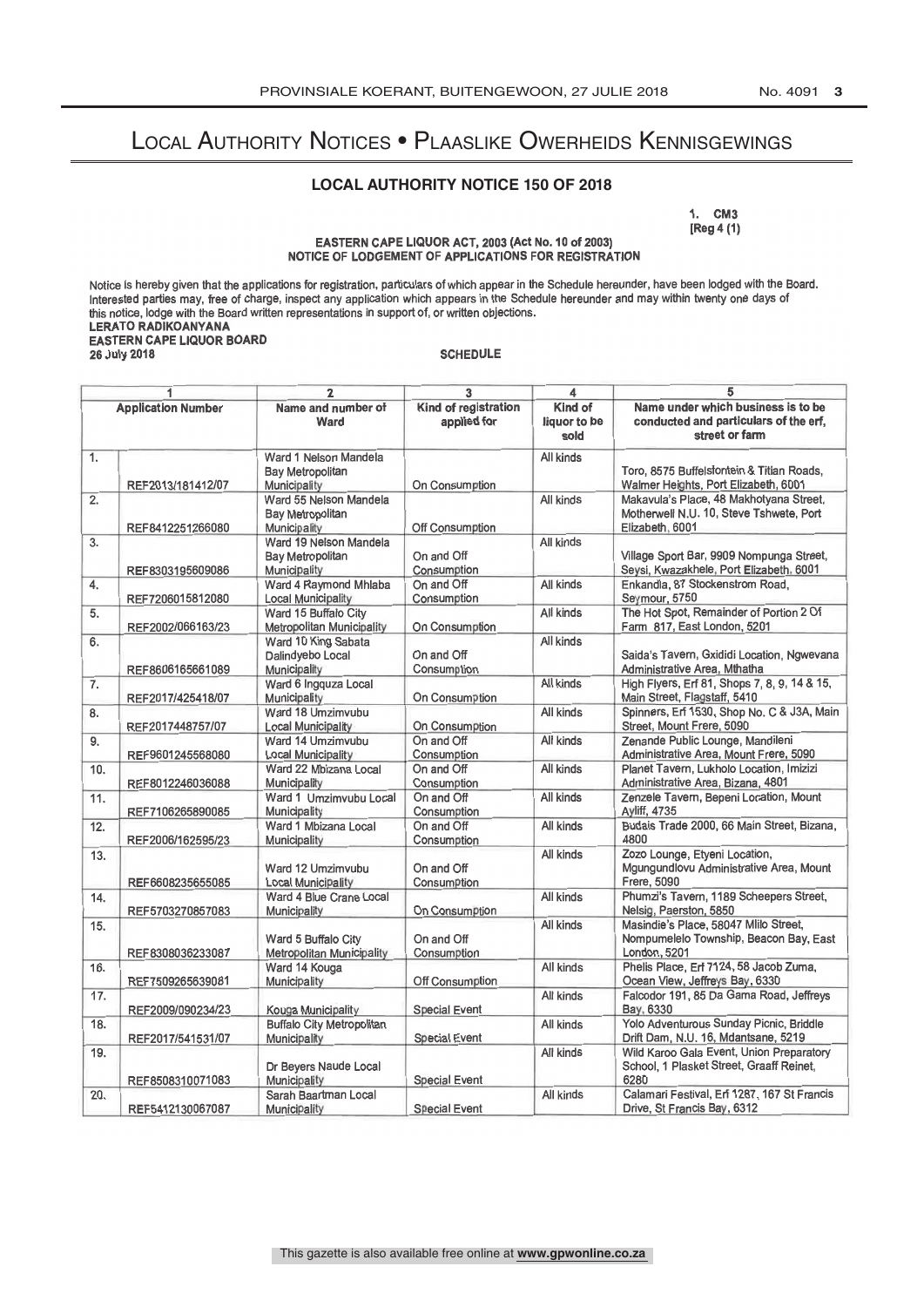# Local Authority Notices • Plaaslike Owerheids Kennisgewings

## **LOCAL AUTHORITY NOTICE 150 OF 2018**

 $1.$  CM3

 $[log \frac{1}{2}]$ 

EASTERN CAPE LIQUOR ACT, 2003 (Act No. 10 of 2003) NOTICE OF LODGEMENT OF APPLICATIONS FOR REGISTRATION

Notice is hereby given that the applications for registration, particulars of which appear in the Schedule hereunder, have been lodged with the Board. Interested parties may, free of charge, inspect any application which appears in the Schedule hereunder and may within twenty one days of this notice, lodge with the Board written representations in support of, or written objections. LERATO RADIKOANYANA EASTERN CAPE LIQUOR BOARD<br>26 July 2018 26 July 2018 SCHEDULE

|                           | 1                 | $\overline{2}$                                                    | 3                                   | 4                               | 5                                                                                                     |
|---------------------------|-------------------|-------------------------------------------------------------------|-------------------------------------|---------------------------------|-------------------------------------------------------------------------------------------------------|
| <b>Application Number</b> |                   | Name and number of<br>Ward                                        | Kind of registration<br>applied for | Kind of<br>liquor to be<br>sold | Name under which business is to be<br>conducted and particulars of the erf,<br>street or farm         |
| 1.                        | REF2013/181412/07 | Ward 1 Nelson Mandela<br><b>Bay Metropolitan</b><br>Municipality  | On Consumption                      | All kinds                       | Toro, 8575 Buffelsfontein & Titian Roads,<br>Walmer Heights, Port Elizabeth, 6001                     |
| 2.                        | REF8412251266080  | Ward 55 Nelson Mandela<br>Bay Metropolitan<br>Municipality        | Off Consumption                     | All kinds                       | Makavula's Place, 48 Makhotyana Street,<br>Motherwell N.U. 10, Steve Tshwete, Port<br>Elizabeth, 6001 |
| 3.                        | REF8303195609086  | Ward 19 Nelson Mandela<br><b>Bay Metropolitan</b><br>Municipality | On and Off<br>Consumption           | All kinds                       | Village Sport Bar, 9909 Nompunga Street,<br>Seysi, Kwazakhele, Port Elizabeth, 6001                   |
| 4.                        | REF7206015812080  | Ward 4 Raymond Mhlaba<br><b>Local Municipality</b>                | On and Off<br>Consumption           | All kinds                       | Enkandla, 87 Stockenstrom Road,<br>Seymour, 5750                                                      |
| 5.                        | REF2002/066163/23 | Ward 15 Buffalo City<br>Metropolitan Municipality                 | On Consumption                      | All kinds                       | The Hot Spot, Remainder of Portion 2 Of<br>Farm 817, East London, 5201                                |
| 6.                        | REF8606165661089  | Ward 10 King Sabata<br>Dalindyebo Local<br>Municipality           | On and Off<br>Consumption           | All kinds                       | Saida's Tavern, Gxididi Location, Ngwevana<br>Administrative Area, Mthatha                            |
| 7.                        | REF2017/425418/07 | Ward 6 Ingquza Local<br>Municipality                              | On Consumption                      | All kinds                       | High Flyers, Erf 81, Shops 7, 8, 9, 14 & 15,<br>Main Street, Flagstaff, 5410                          |
| 8.                        | REF2017448757/07  | Ward 18 Umzimvubu<br><b>Local Municipality</b>                    | On Consumption                      | All kinds                       | Spinners, Erf 1530, Shop No. C & J3A, Main<br>Street, Mount Frere, 5090                               |
| 9.                        | REF9601245568080  | Ward 14 Umzimvubu<br><b>Local Municipality</b>                    | On and Off<br>Consumption           | All kinds                       | Zenande Public Lounge, Mandileni<br>Administrative Area, Mount Frere, 5090                            |
| 10.                       | REF8012246036088  | Ward 22 Mbizana Local<br>Municipality                             | On and Off<br>Consumption           | All kinds                       | Planet Tavern, Lukholo Location, Imizizi<br>Administrative Area, Bizana, 4801                         |
| 11.                       | REF7106265890085  | Ward 1 Umzimvubu Local<br>Municipality                            | On and Off<br>Consumption           | All kinds                       | Zenzele Tavern, Bepeni Location, Mount<br>Ayliff, 4735                                                |
| 12.                       | REF2006/162595/23 | Ward 1 Mbizana Local<br>Municipality                              | On and Off<br>Consumption           | All kinds                       | Budais Trade 2000, 66 Main Street, Bizana,<br>4800                                                    |
| 13.                       | REF6608235655085  | Ward 12 Umzimvubu<br><b>Local Municipality</b>                    | On and Off<br>Consumption           | All kinds                       | Zozo Lounge, Etyeni Location,<br>Mgungundlovu Administrative Area, Mount<br>Frere, 5090               |
| 14.                       | REF5703270857083  | Ward 4 Blue Crane Local<br>Municipality                           | On Consumption                      | All kinds                       | Phumzi's Tavern, 1189 Scheepers Street,<br>Nelsig, Paerston, 5850                                     |
| 15.                       | REF8308036233087  | Ward 5 Buffalo City<br><b>Metropolitan Municipality</b>           | On and Off<br>Consumption           | All kinds                       | Masindie's Place, 58047 Mlilo Street,<br>Nompumelelo Township, Beacon Bay, East<br>London, 5201       |
| 16.                       | REF7509265639081  | Ward 14 Kouga<br>Municipality                                     | Off Consumption                     | All kinds                       | Phelis Place, Erf 7124, 58 Jacob Zuma,<br>Ocean View, Jeffreys Bay, 6330                              |
| 17.                       | REF2009/090234/23 | Kouga Municipality                                                | Special Event                       | All kinds                       | Falcodor 191, 85 Da Gama Road, Jeffreys<br>Bay, 6330                                                  |
| 18.                       | REF2017/541531/07 | <b>Buffalo City Metropolitan</b><br>Municipality                  | Special Event                       | All kinds                       | Yolo Adventurous Sunday Picnic, Briddle<br>Drift Dam, N.U. 16, Mdantsane, 5219                        |
| 19.                       | REF8508310071083  | Dr Beyers Naude Local<br>Municipality                             | <b>Special Event</b>                | All kinds                       | Wild Karoo Gala Event, Union Preparatory<br>School, 1 Plasket Street, Graaff Reinet,<br>6280          |
| 20.                       | REF5412130067087  | Sarah Baartman Local<br>Municipality                              | Special Event                       | All kinds                       | Calamari Festival, Erf 1287, 167 St Francis<br>Drive, St Francis Bay, 6312                            |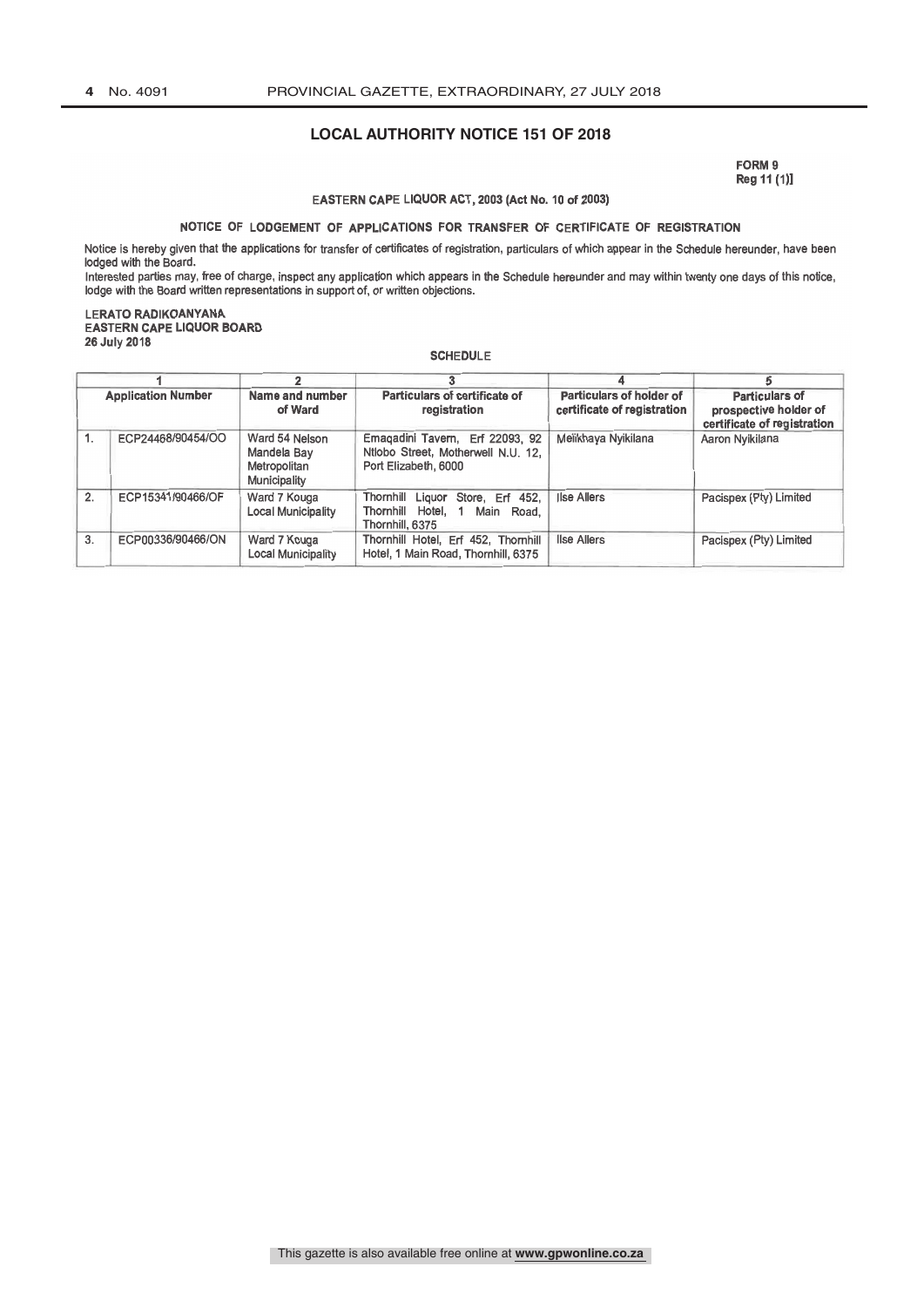## **LOCAL AUTHORITY NOTICE 151 OF 2018**

FORM 9 Reg 11 (1)]

### EASTERN CAPE LIQUOR ACT, 2003 (Act No. 10 of 2003)

#### NOTICE OF LODGEMENT OF APPLICATIONS FOR TRANSFER OF CERTIFICATE OF REGISTRATION

Notice is hereby given that the applications for transfer of certificates of registration, particulars of which appear in the Schedule hereunder, have been lodged with the Board.

Interested parties may, free of charge, inspect any application which appears in the Schedule hereunder and may within twenty one days of this notice, lodge with the Board written representations in support of, or written objections.

LERATO RADIKOANYANA EASTERN CAPE LIQUOR BOARD 26 July 2018

**SCHEDULE** 

| <b>Application Number</b> |                   |                                                                             |                                                                                               |                                                         |                                                                               |
|---------------------------|-------------------|-----------------------------------------------------------------------------|-----------------------------------------------------------------------------------------------|---------------------------------------------------------|-------------------------------------------------------------------------------|
|                           |                   | Name and number<br>Particulars of certificate of<br>of Ward<br>registration |                                                                                               | Particulars of holder of<br>certificate of registration | <b>Particulars of</b><br>prospective holder of<br>certificate of registration |
| υ.                        | ECP24468/90454/OO | Ward 54 Nelson<br>Mandela Bay<br>Metropolitan<br>Municipality               | Emagadini Tavern, Erf 22093, 92<br>Ntlobo Street, Motherwell N.U. 12.<br>Port Elizabeth, 6000 | Melikhaya Nyikilana                                     | Aaron Nyikilana                                                               |
| $\overline{2}$ .          | ECP15341/90466/OF | Ward 7 Kouga<br><b>Local Municipality</b>                                   | Thornhill Liquor Store, Erf 452,<br>Thornhill Hotel, 1 Main Road,<br>Thornhill, 6375          | <b>Ilse Allers</b>                                      | Pacispex (Pty) Limited                                                        |
| 3.                        | ECP00336/90466/ON | Ward 7 Kouga<br><b>Local Municipality</b>                                   | Thornhill Hotel, Erf 452, Thornhill<br>Hotel, 1 Main Road, Thornhill, 6375                    | <b>Ilse Allers</b>                                      | Pacispex (Pty) Limited                                                        |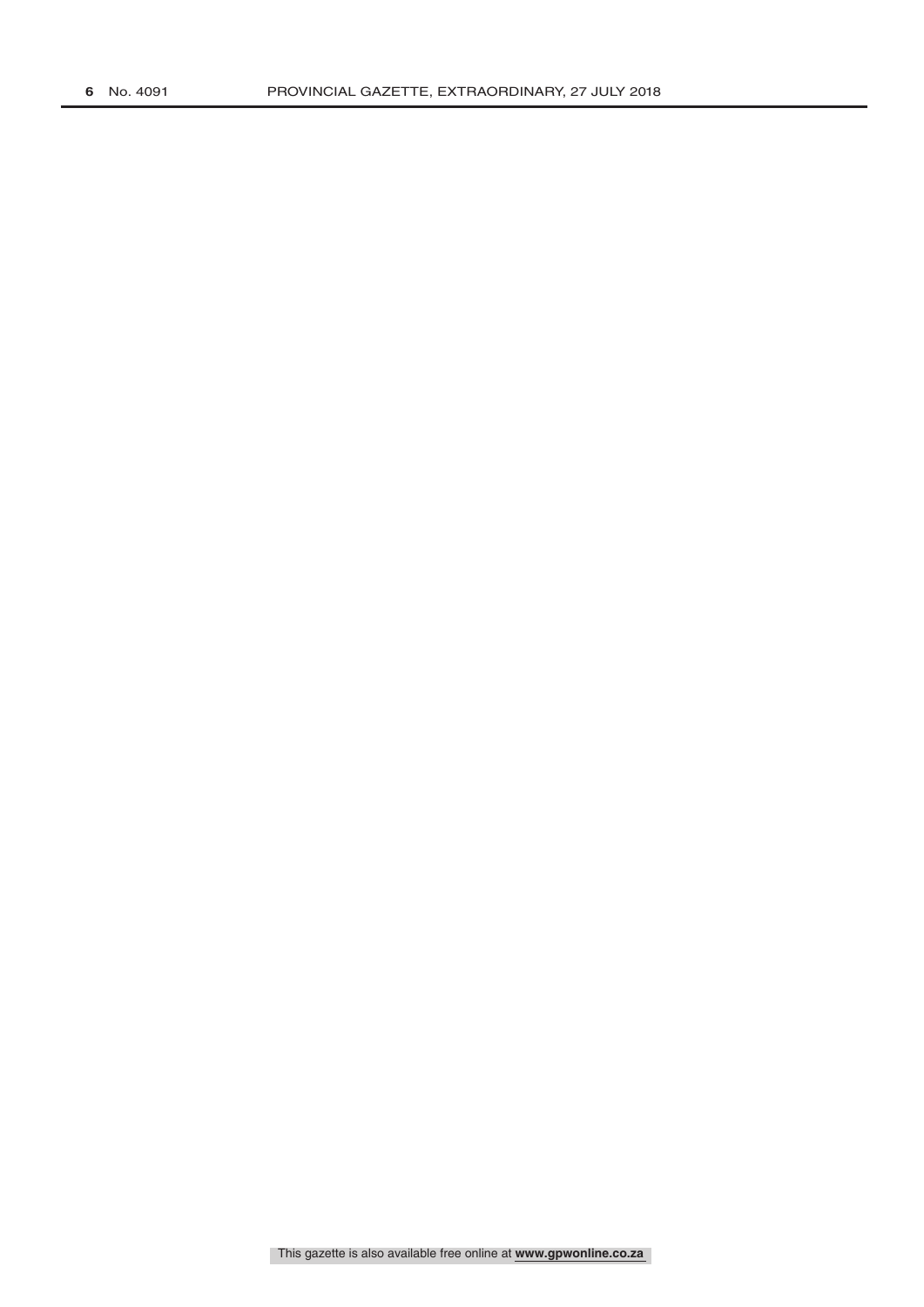This gazette is also available free online at **www.gpwonline.co.za**